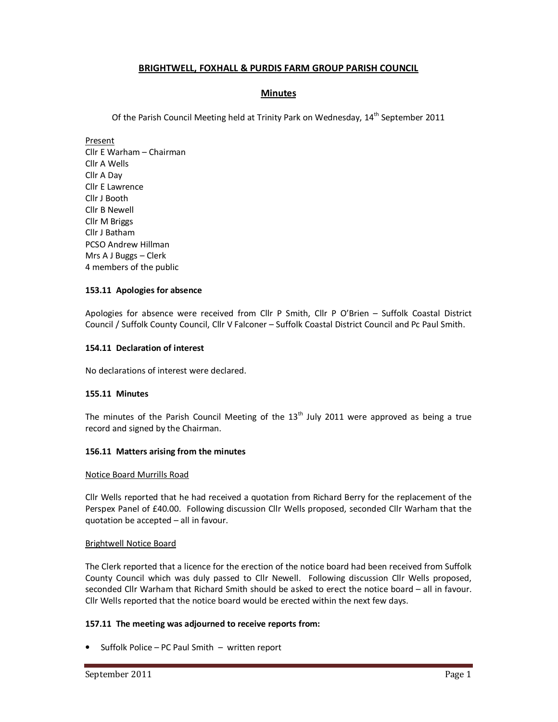# **BRIGHTWELL, FOXHALL & PURDIS FARM GROUP PARISH COUNCIL**

# **Minutes**

Of the Parish Council Meeting held at Trinity Park on Wednesday,  $14<sup>th</sup>$  September 2011

Present Cllr E Warham – Chairman Cllr A Wells Cllr A Day Cllr E Lawrence Cllr J Booth Cllr B Newell Cllr M Briggs Cllr J Batham PCSO Andrew Hillman Mrs A J Buggs – Clerk 4 members of the public

### **153.11 Apologies for absence**

Apologies for absence were received from Cllr P Smith, Cllr P O'Brien – Suffolk Coastal District Council / Suffolk County Council, Cllr V Falconer – Suffolk Coastal District Council and Pc Paul Smith.

### **154.11 Declaration of interest**

No declarations of interest were declared.

# **155.11 Minutes**

The minutes of the Parish Council Meeting of the  $13<sup>th</sup>$  July 2011 were approved as being a true record and signed by the Chairman.

#### **156.11 Matters arising from the minutes**

#### Notice Board Murrills Road

Cllr Wells reported that he had received a quotation from Richard Berry for the replacement of the Perspex Panel of £40.00. Following discussion Cllr Wells proposed, seconded Cllr Warham that the quotation be accepted – all in favour.

#### Brightwell Notice Board

The Clerk reported that a licence for the erection of the notice board had been received from Suffolk County Council which was duly passed to Cllr Newell. Following discussion Cllr Wells proposed, seconded Cllr Warham that Richard Smith should be asked to erect the notice board – all in favour. Cllr Wells reported that the notice board would be erected within the next few days.

# **157.11 The meeting was adjourned to receive reports from:**

• Suffolk Police – PC Paul Smith – written report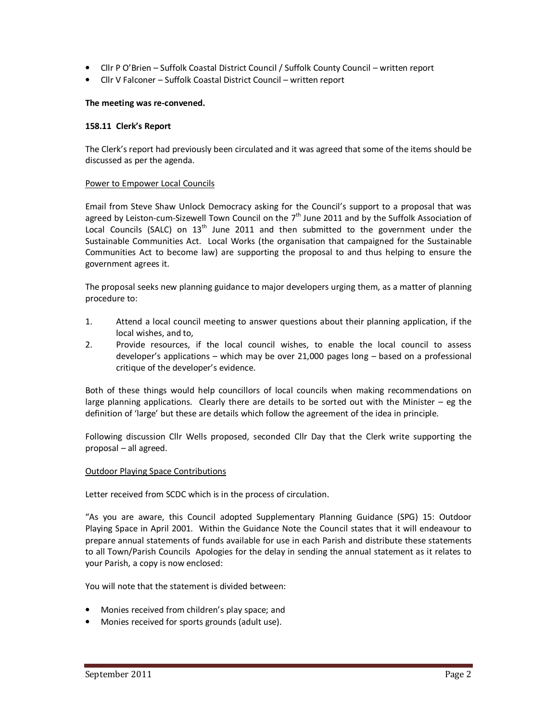- Cllr P O'Brien Suffolk Coastal District Council / Suffolk County Council written report
- Cllr V Falconer Suffolk Coastal District Council written report

### **The meeting was re-convened.**

### **158.11 Clerk's Report**

The Clerk's report had previously been circulated and it was agreed that some of the items should be discussed as per the agenda.

#### Power to Empower Local Councils

Email from Steve Shaw Unlock Democracy asking for the Council's support to a proposal that was agreed by Leiston-cum-Sizewell Town Council on the  $7<sup>th</sup>$  June 2011 and by the Suffolk Association of Local Councils (SALC) on  $13<sup>th</sup>$  June 2011 and then submitted to the government under the Sustainable Communities Act. Local Works (the organisation that campaigned for the Sustainable Communities Act to become law) are supporting the proposal to and thus helping to ensure the government agrees it.

The proposal seeks new planning guidance to major developers urging them, as a matter of planning procedure to:

- 1. Attend a local council meeting to answer questions about their planning application, if the local wishes, and to,
- 2. Provide resources, if the local council wishes, to enable the local council to assess developer's applications – which may be over 21,000 pages long – based on a professional critique of the developer's evidence.

Both of these things would help councillors of local councils when making recommendations on large planning applications. Clearly there are details to be sorted out with the Minister  $-$  eg the definition of 'large' but these are details which follow the agreement of the idea in principle.

Following discussion Cllr Wells proposed, seconded Cllr Day that the Clerk write supporting the proposal – all agreed.

# Outdoor Playing Space Contributions

Letter received from SCDC which is in the process of circulation.

"As you are aware, this Council adopted Supplementary Planning Guidance (SPG) 15: Outdoor Playing Space in April 2001. Within the Guidance Note the Council states that it will endeavour to prepare annual statements of funds available for use in each Parish and distribute these statements to all Town/Parish Councils Apologies for the delay in sending the annual statement as it relates to your Parish, a copy is now enclosed:

You will note that the statement is divided between:

- Monies received from children's play space; and
- Monies received for sports grounds (adult use).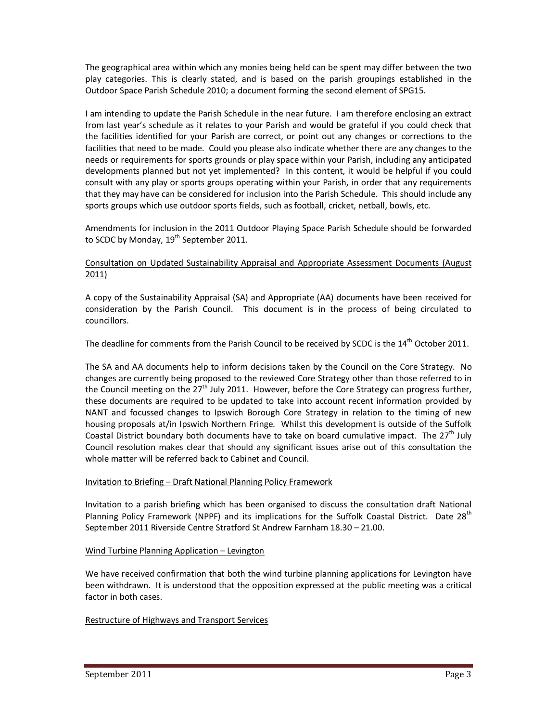The geographical area within which any monies being held can be spent may differ between the two play categories. This is clearly stated, and is based on the parish groupings established in the Outdoor Space Parish Schedule 2010; a document forming the second element of SPG15.

I am intending to update the Parish Schedule in the near future. I am therefore enclosing an extract from last year's schedule as it relates to your Parish and would be grateful if you could check that the facilities identified for your Parish are correct, or point out any changes or corrections to the facilities that need to be made. Could you please also indicate whether there are any changes to the needs or requirements for sports grounds or play space within your Parish, including any anticipated developments planned but not yet implemented? In this content, it would be helpful if you could consult with any play or sports groups operating within your Parish, in order that any requirements that they may have can be considered for inclusion into the Parish Schedule. This should include any sports groups which use outdoor sports fields, such as football, cricket, netball, bowls, etc.

Amendments for inclusion in the 2011 Outdoor Playing Space Parish Schedule should be forwarded to SCDC by Monday, 19<sup>th</sup> September 2011.

# Consultation on Updated Sustainability Appraisal and Appropriate Assessment Documents (August 2011)

A copy of the Sustainability Appraisal (SA) and Appropriate (AA) documents have been received for consideration by the Parish Council. This document is in the process of being circulated to councillors.

The deadline for comments from the Parish Council to be received by SCDC is the 14<sup>th</sup> October 2011.

The SA and AA documents help to inform decisions taken by the Council on the Core Strategy. No changes are currently being proposed to the reviewed Core Strategy other than those referred to in the Council meeting on the 27<sup>th</sup> July 2011. However, before the Core Strategy can progress further, these documents are required to be updated to take into account recent information provided by NANT and focussed changes to Ipswich Borough Core Strategy in relation to the timing of new housing proposals at/in Ipswich Northern Fringe. Whilst this development is outside of the Suffolk Coastal District boundary both documents have to take on board cumulative impact. The  $27<sup>th</sup>$  July Council resolution makes clear that should any significant issues arise out of this consultation the whole matter will be referred back to Cabinet and Council.

# Invitation to Briefing – Draft National Planning Policy Framework

Invitation to a parish briefing which has been organised to discuss the consultation draft National Planning Policy Framework (NPPF) and its implications for the Suffolk Coastal District. Date 28<sup>th</sup> September 2011 Riverside Centre Stratford St Andrew Farnham 18.30 – 21.00.

# Wind Turbine Planning Application – Levington

We have received confirmation that both the wind turbine planning applications for Levington have been withdrawn. It is understood that the opposition expressed at the public meeting was a critical factor in both cases.

# Restructure of Highways and Transport Services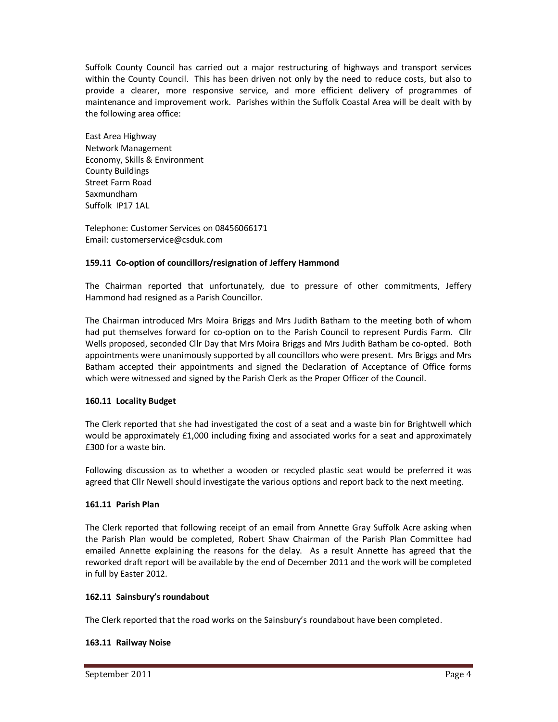Suffolk County Council has carried out a major restructuring of highways and transport services within the County Council. This has been driven not only by the need to reduce costs, but also to provide a clearer, more responsive service, and more efficient delivery of programmes of maintenance and improvement work. Parishes within the Suffolk Coastal Area will be dealt with by the following area office:

East Area Highway Network Management Economy, Skills & Environment County Buildings Street Farm Road Saxmundham Suffolk IP17 1AL

Telephone: Customer Services on 08456066171 Email: customerservice@csduk.com

# **159.11 Co-option of councillors/resignation of Jeffery Hammond**

The Chairman reported that unfortunately, due to pressure of other commitments, Jeffery Hammond had resigned as a Parish Councillor.

The Chairman introduced Mrs Moira Briggs and Mrs Judith Batham to the meeting both of whom had put themselves forward for co-option on to the Parish Council to represent Purdis Farm. Cllr Wells proposed, seconded Cllr Day that Mrs Moira Briggs and Mrs Judith Batham be co-opted. Both appointments were unanimously supported by all councillors who were present. Mrs Briggs and Mrs Batham accepted their appointments and signed the Declaration of Acceptance of Office forms which were witnessed and signed by the Parish Clerk as the Proper Officer of the Council.

# **160.11 Locality Budget**

The Clerk reported that she had investigated the cost of a seat and a waste bin for Brightwell which would be approximately £1,000 including fixing and associated works for a seat and approximately £300 for a waste bin.

Following discussion as to whether a wooden or recycled plastic seat would be preferred it was agreed that Cllr Newell should investigate the various options and report back to the next meeting.

# **161.11 Parish Plan**

The Clerk reported that following receipt of an email from Annette Gray Suffolk Acre asking when the Parish Plan would be completed, Robert Shaw Chairman of the Parish Plan Committee had emailed Annette explaining the reasons for the delay. As a result Annette has agreed that the reworked draft report will be available by the end of December 2011 and the work will be completed in full by Easter 2012.

# **162.11 Sainsbury's roundabout**

The Clerk reported that the road works on the Sainsbury's roundabout have been completed.

# **163.11 Railway Noise**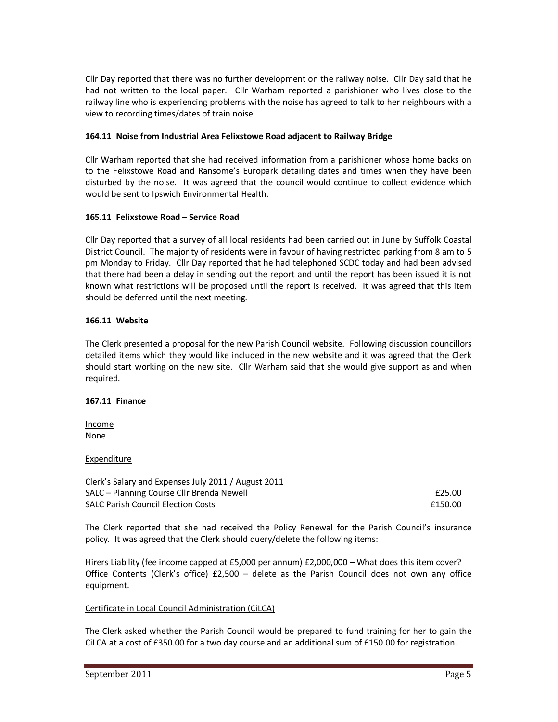Cllr Day reported that there was no further development on the railway noise. Cllr Day said that he had not written to the local paper. Cllr Warham reported a parishioner who lives close to the railway line who is experiencing problems with the noise has agreed to talk to her neighbours with a view to recording times/dates of train noise.

### **164.11 Noise from Industrial Area Felixstowe Road adjacent to Railway Bridge**

Cllr Warham reported that she had received information from a parishioner whose home backs on to the Felixstowe Road and Ransome's Europark detailing dates and times when they have been disturbed by the noise. It was agreed that the council would continue to collect evidence which would be sent to Ipswich Environmental Health.

### **165.11 Felixstowe Road – Service Road**

Cllr Day reported that a survey of all local residents had been carried out in June by Suffolk Coastal District Council. The majority of residents were in favour of having restricted parking from 8 am to 5 pm Monday to Friday. Cllr Day reported that he had telephoned SCDC today and had been advised that there had been a delay in sending out the report and until the report has been issued it is not known what restrictions will be proposed until the report is received. It was agreed that this item should be deferred until the next meeting.

### **166.11 Website**

The Clerk presented a proposal for the new Parish Council website. Following discussion councillors detailed items which they would like included in the new website and it was agreed that the Clerk should start working on the new site. Cllr Warham said that she would give support as and when required.

#### **167.11 Finance**

Income None

#### Expenditure

| Clerk's Salary and Expenses July 2011 / August 2011 |         |
|-----------------------------------------------------|---------|
| SALC – Planning Course Cllr Brenda Newell           | £25.00  |
| <b>SALC Parish Council Election Costs</b>           | £150.00 |

The Clerk reported that she had received the Policy Renewal for the Parish Council's insurance policy. It was agreed that the Clerk should query/delete the following items:

Hirers Liability (fee income capped at £5,000 per annum) £2,000,000 – What does this item cover? Office Contents (Clerk's office)  $£2,500 -$  delete as the Parish Council does not own any office equipment.

#### Certificate in Local Council Administration (CiLCA)

The Clerk asked whether the Parish Council would be prepared to fund training for her to gain the CiLCA at a cost of £350.00 for a two day course and an additional sum of £150.00 for registration.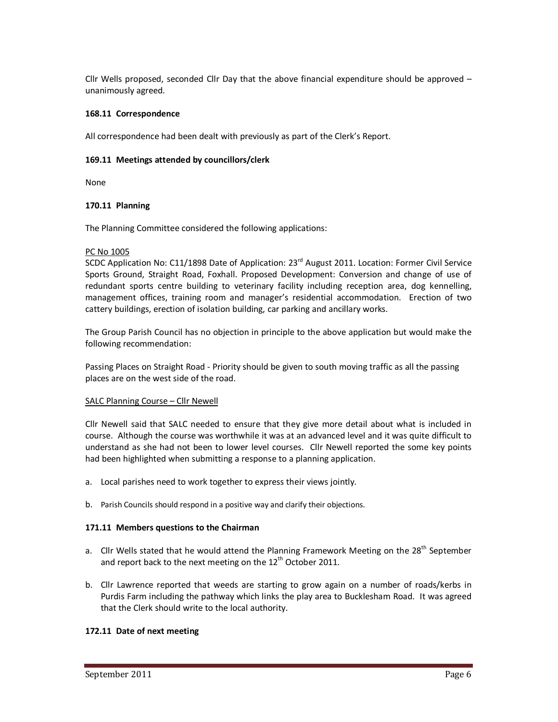Cllr Wells proposed, seconded Cllr Day that the above financial expenditure should be approved – unanimously agreed.

### **168.11 Correspondence**

All correspondence had been dealt with previously as part of the Clerk's Report.

### **169.11 Meetings attended by councillors/clerk**

None

### **170.11 Planning**

The Planning Committee considered the following applications:

### PC No 1005

SCDC Application No:  $C11/1898$  Date of Application:  $23<sup>rd</sup>$  August 2011. Location: Former Civil Service Sports Ground, Straight Road, Foxhall. Proposed Development: Conversion and change of use of redundant sports centre building to veterinary facility including reception area, dog kennelling, management offices, training room and manager's residential accommodation. Erection of two cattery buildings, erection of isolation building, car parking and ancillary works.

The Group Parish Council has no objection in principle to the above application but would make the following recommendation:

Passing Places on Straight Road - Priority should be given to south moving traffic as all the passing places are on the west side of the road.

#### SALC Planning Course – Cllr Newell

Cllr Newell said that SALC needed to ensure that they give more detail about what is included in course. Although the course was worthwhile it was at an advanced level and it was quite difficult to understand as she had not been to lower level courses. Cllr Newell reported the some key points had been highlighted when submitting a response to a planning application.

- a. Local parishes need to work together to express their views jointly.
- b. Parish Councils should respond in a positive way and clarify their objections.

#### **171.11 Members questions to the Chairman**

- a. Cllr Wells stated that he would attend the Planning Framework Meeting on the  $28<sup>th</sup>$  September and report back to the next meeting on the  $12<sup>th</sup>$  October 2011.
- b. Cllr Lawrence reported that weeds are starting to grow again on a number of roads/kerbs in Purdis Farm including the pathway which links the play area to Bucklesham Road. It was agreed that the Clerk should write to the local authority.

# **172.11 Date of next meeting**